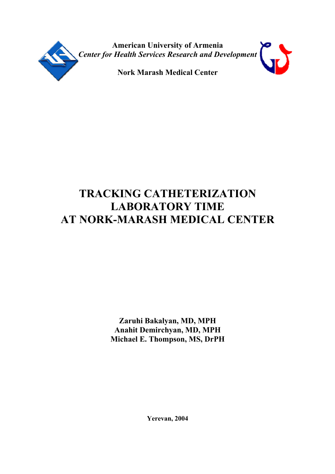

**American University of Armenia** *Center for Health Services Research and Development*

**Nork Marash Medical Center**

# **TRACKING CATHETERIZATION LABORATORY TIME AT NORK-MARASH MEDICAL CENTER**

**Zaruhi Bakalyan, MD, MPH Anahit Demirchyan, MD, MPH Michael E. Thompson, MS, DrPH**

**Yerevan, 2004**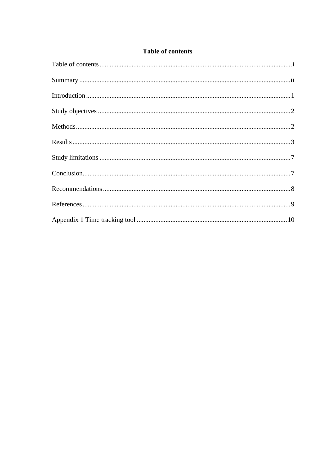#### **Table of contents**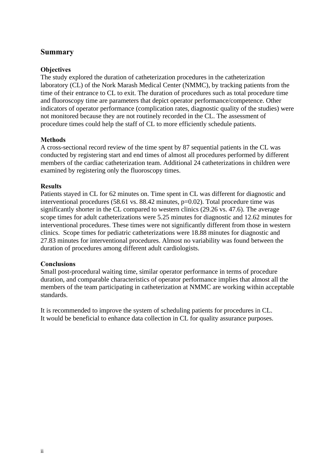### **Summary**

#### **Objectives**

The study explored the duration of catheterization procedures in the catheterization laboratory (CL) of the Nork Marash Medical Center (NMMC), by tracking patients from the time of their entrance to CL to exit. The duration of procedures such as total procedure time and fluoroscopy time are parameters that depict operator performance/competence. Other indicators of operator performance (complication rates, diagnostic quality of the studies) were not monitored because they are not routinely recorded in the CL. The assessment of procedure times could help the staff of CL to more efficiently schedule patients.

#### **Methods**

A cross-sectional record review of the time spent by 87 sequential patients in the CL was conducted by registering start and end times of almost all procedures performed by different members of the cardiac catheterization team. Additional 24 catheterizations in children were examined by registering only the fluoroscopy times.

#### **Results**

Patients stayed in CL for 62 minutes on. Time spent in CL was different for diagnostic and interventional procedures (58.61 vs. 88.42 minutes, p=0.02). Total procedure time was significantly shorter in the CL compared to western clinics (29.26 vs. 47.6). The average scope times for adult catheterizations were 5.25 minutes for diagnostic and 12.62 minutes for interventional procedures. These times were not significantly different from those in western clinics. Scope times for pediatric catheterizations were 18.88 minutes for diagnostic and 27.83 minutes for interventional procedures. Almost no variability was found between the duration of procedures among different adult cardiologists.

#### **Conclusions**

Small post-procedural waiting time, similar operator performance in terms of procedure duration, and comparable characteristics of operator performance implies that almost all the members of the team participating in catheterization at NMMC are working within acceptable standards.

It is recommended to improve the system of scheduling patients for procedures in CL. It would be beneficial to enhance data collection in CL for quality assurance purposes.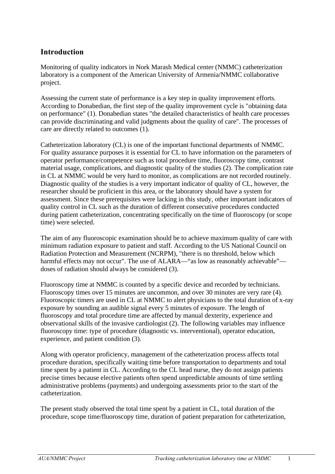# **Introduction**

Monitoring of quality indicators in Nork Marash Medical center (NMMC) catheterization laboratory is a component of the American University of Armenia/NMMC collaborative project.

Assessing the current state of performance is a key step in quality improvement efforts. According to Donabedian, the first step of the quality improvement cycle is "obtaining data on performance" (1). Donabedian states "the detailed characteristics of health care processes can provide discriminating and valid judgments about the quality of care". The processes of care are directly related to outcomes (1).

Catheterization laboratory (CL) is one of the important functional departments of NMMC. For quality assurance purposes it is essential for CL to have information on the parameters of operator performance/competence such as total procedure time, fluoroscopy time, contrast material usage, complications, and diagnostic quality of the studies (2). The complication rate in CL at NMMC would be very hard to monitor, as complications are not recorded routinely. Diagnostic quality of the studies is a very important indicator of quality of CL, however, the researcher should be proficient in this area, or the laboratory should have a system for assessment. Since these prerequisites were lacking in this study, other important indicators of quality control in CL such as the duration of different consecutive procedures conducted during patient catheterization, concentrating specifically on the time of fluoroscopy (or scope time) were selected.

The aim of any fluoroscopic examination should be to achieve maximum quality of care with minimum radiation exposure to patient and staff. According to the US National Council on Radiation Protection and Measurement (NCRPM), "there is no threshold, below which harmful effects may not occur". The use of ALARA—"as low as reasonably achievable" doses of radiation should always be considered (3).

Fluoroscopy time at NMMC is counted by a specific device and recorded by technicians. Fluoroscopy times over 15 minutes are uncommon, and over 30 minutes are very rare (4). Fluoroscopic timers are used in CL at NMMC to alert physicians to the total duration of x-ray exposure by sounding an audible signal every 5 minutes of exposure. The length of fluoroscopy and total procedure time are affected by manual dexterity, experience and observational skills of the invasive cardiologist (2). The following variables may influence fluoroscopy time: type of procedure (diagnostic vs. interventional), operator education, experience, and patient condition (3).

Along with operator proficiency, management of the catheterization process affects total procedure duration, specifically waiting time before transportation to departments and total time spent by a patient in CL. According to the CL head nurse, they do not assign patients precise times because elective patients often spend unpredictable amounts of time settling administrative problems (payments) and undergoing assessments prior to the start of the catheterization.

The present study observed the total time spent by a patient in CL, total duration of the procedure, scope time/fluoroscopy time, duration of patient preparation for catheterization,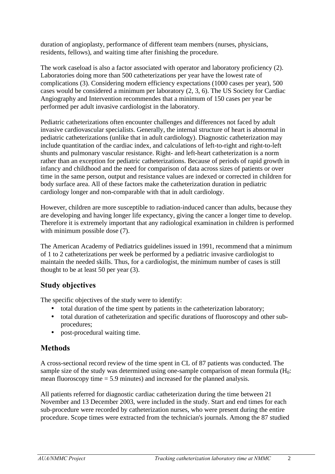duration of angioplasty, performance of different team members (nurses, physicians, residents, fellows), and waiting time after finishing the procedure.

The work caseload is also a factor associated with operator and laboratory proficiency (2). Laboratories doing more than 500 catheterizations per year have the lowest rate of complications (3). Considering modern efficiency expectations (1000 cases per year), 500 cases would be considered a minimum per laboratory (2, 3, 6). The US Society for Cardiac Angiography and Intervention recommendes that a minimum of 150 cases per year be performed per adult invasive cardiologist in the laboratory.

Pediatric catheterizations often encounter challenges and differences not faced by adult invasive cardiovascular specialists. Generally, the internal structure of heart is abnormal in pediatric catheterizations (unlike that in adult cardiology). Diagnostic catheterization may include quantitation of the cardiac index, and calculations of left-to-right and right-to-left shunts and pulmonary vascular resistance. Right- and left-heart catheterization is a norm rather than an exception for pediatric catheterizations. Because of periods of rapid growth in infancy and childhood and the need for comparison of data across sizes of patients or over time in the same person, output and resistance values are indexed or corrected in children for body surface area. All of these factors make the catheterization duration in pediatric cardiology longer and non-comparable with that in adult cardiology.

However, children are more susceptible to radiation-induced cancer than adults, because they are developing and having longer life expectancy, giving the cancer a longer time to develop. Therefore it is extremely important that any radiological examination in children is performed with minimum possible dose  $(7)$ .

The American Academy of Pediatrics guidelines issued in 1991, recommend that a minimum of 1 to 2 catheterizations per week be performed by a pediatric invasive cardiologist to maintain the needed skills. Thus, for a cardiologist, the minimum number of cases is still thought to be at least 50 per year (3).

# **Study objectives**

The specific objectives of the study were to identify:

- total duration of the time spent by patients in the catheterization laboratory;
- total duration of catheterization and specific durations of fluoroscopy and other subprocedures;
- post-procedural waiting time.

# **Methods**

A cross-sectional record review of the time spent in CL of 87 patients was conducted. The sample size of the study was determined using one-sample comparison of mean formula  $(H_0:$ mean fluoroscopy time  $= 5.9$  minutes) and increased for the planned analysis.

All patients referred for diagnostic cardiac catheterization during the time between 21 November and 13 December 2003, were included in the study. Start and end times for each sub-procedure were recorded by catheterization nurses, who were present during the entire procedure. Scope times were extracted from the technician's journals. Among the 87 studied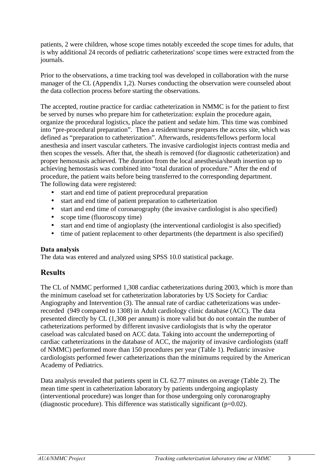patients, 2 were children, whose scope times notably exceeded the scope times for adults, that is why additional 24 records of pediatric catheterizations' scope times were extracted from the journals.

Prior to the observations, a time tracking tool was developed in collaboration with the nurse manager of the CL (Appendix 1,2). Nurses conducting the observation were counseled about the data collection process before starting the observations.

The accepted, routine practice for cardiac catheterization in NMMC is for the patient to first be served by nurses who prepare him for catheterization: explain the procedure again, organize the procedural logistics, place the patient and sedate him. This time was combined into "pre-procedural preparation". Then a resident/nurse prepares the access site, which was defined as "preparation to catheterization". Afterwards, residents/fellows perform local anesthesia and insert vascular catheters. The invasive cardiologist injects contrast media and then scopes the vessels. After that, the sheath is removed (for diagnostic catheterization) and proper hemostasis achieved. The duration from the local anesthesia/sheath insertion up to achieving hemostasis was combined into "total duration of procedure." After the end of procedure, the patient waits before being transferred to the corresponding department. The following data were registered:

- start and end time of patient preprocedural preparation
- start and end time of patient preparation to catheterization
- start and end time of coronarography (the invasive cardiologist is also specified)
- scope time (fluoroscopy time)
- start and end time of angioplasty (the interventional cardiologist is also specified)
- time of patient replacement to other departments (the department is also specified)

#### **Data analysis**

The data was entered and analyzed using SPSS 10.0 statistical package.

### **Results**

The CL of NMMC performed 1,308 cardiac catheterizations during 2003, which is more than the minimum caseload set for catheterization laboratories by US Society for Cardiac Angiography and Intervention (3). The annual rate of cardiac catheterizations was underrecorded (949 compared to 1308) in Adult cardiology clinic database (ACC). The data presented directly by CL (1,308 per annum) is more valid but do not contain the number of catheterizations performed by different invasive cardiologists that is why the operator caseload was calculated based on ACC data. Taking into account the underreporting of cardiac catheterizations in the database of ACC, the majority of invasive cardiologists (staff of NMMC) performed more than 150 procedures per year (Table 1). Pediatric invasive cardiologists performed fewer catheterizations than the minimums required by the American Academy of Pediatrics.

Data analysis revealed that patients spent in CL 62.77 minutes on average (Table 2). The mean time spent in catheterization laboratory by patients undergoing angioplasty (interventional procedure) was longer than for those undergoing only coronarography (diagnostic procedure). This difference was statistically significant ( $p=0.02$ ).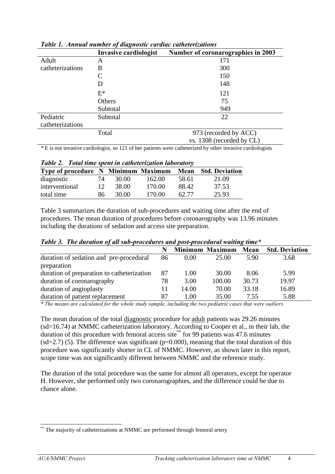|                  | Invasive cardiologist | Number of coronarographies in 2003 |
|------------------|-----------------------|------------------------------------|
| Adult            | A                     | 171                                |
| catheterizations | B                     | 300                                |
|                  | C                     | 150                                |
|                  | Ð                     | 148                                |
|                  | $E^*$                 | 121                                |
|                  | Others                | 75                                 |
|                  | Subtotal              | 949                                |
| Pediatric        | Subtotal              | 22                                 |
| catheterizations |                       |                                    |
|                  | Total                 | 973 (recorded by ACC)              |
|                  |                       | vs. 1308 (recorded by CL)          |

*Table 1. Annual number of diagnostic cardiac catheterizations* 

*\** E is not invasive cardiologist, so 121 of her patients were catheterized by other invasive cardiologists

| Table 2. Total time spent in catheterization laboratory |    |       |        |       |                       |
|---------------------------------------------------------|----|-------|--------|-------|-----------------------|
| Type of procedure N Minimum Maximum Mean                |    |       |        |       | <b>Std. Deviation</b> |
| diagnostic                                              | 74 | 30.00 | 162.00 | 58.61 | 21.09                 |
| interventional                                          | 12 | 38.00 | 170.00 | 88.42 | 37.53                 |
| total time                                              | 86 | 30.00 | 170.00 | 62.77 | 25.93                 |

Table 3 summarizes the duration of sub-procedures and waiting time after the end of procedures. The mean duration of procedures before coronarography was 13.96 minutes including the durations of sedation and access site preparation.

|                                                        |    |                | <b>Minimum Maximum</b> | Mean  | <b>Std. Deviation</b> |
|--------------------------------------------------------|----|----------------|------------------------|-------|-----------------------|
| duration of sedation and pre-procedural<br>preparation | 86 | $0.00^{\circ}$ | 25.00                  | 5.90  | 3.68                  |
| duration of preparation to catheterization             | 87 | 1.00           | 30.00                  | 8.06  | 5.99                  |
| duration of coronarography                             | 78 | 3.00           | 100.00                 | 30.73 | 19.97                 |
| duration of angioplasty                                | 11 | 14.00          | 70.00                  | 33.18 | 16.89                 |
| duration of patient replacement                        | 87 | 1.00           | 35.00                  | 7.55  | 5.88                  |

*Table 3. The duration of all sub-procedures and post-procedural waiting time\** 

*\* The means are calculated for the whole study sample, including the two pediatric cases that were outliers* 

The mean duration of the total diagnostic procedure for adult patients was 29.26 minutes (sd=16.74) at NMMC catheterization laboratory. According to Cooper et al., in their lab, the duration of this procedure with femoral access site<sup>\*\*</sup> for 99 patients was 47.6 minutes  $(sd=2.7)$  (5). The difference was significant (p=0.000), meaning that the total duration of this procedure was significantly shorter in CL of NMMC. However, as shown later in this report, scope time was not significantly different between NMMC and the reference study.

The duration of the total procedure was the same for almost all operators, except for operator H. However, she performed only two coronarographies, and the difference could be due to chance alone.

 $\overline{\phantom{a}}$ \*\* The majority of catheterizations at NMMC are performed through femoral artery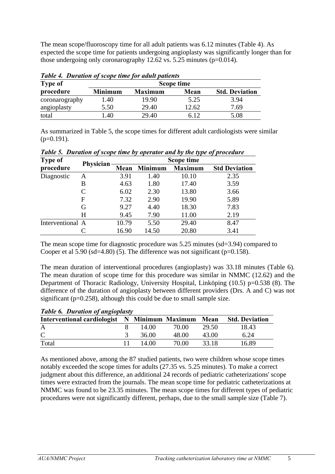The mean scope/fluoroscopy time for all adult patients was 6.12 minutes (Table 4). As expected the scope time for patients undergoing angioplasty was significantly longer than for those undergoing only coronarography 12.62 vs.  $5.25$  minutes (p=0.014).

| <b>Type of</b> |                |                | Scope time |                       |
|----------------|----------------|----------------|------------|-----------------------|
| procedure      | <b>Minimum</b> | <b>Maximum</b> | Mean       | <b>Std. Deviation</b> |
| coronarography | 1.40           | 19.90          | 5.25       | 3.94                  |
| angioplasty    | 5.50           | 29.40          | 12.62      | 7.69                  |
| total          | .40            | 29.40          | 6.12       | 5.08                  |

*Table 4. Duration of scope time for adult patients*

As summarized in Table 5, the scope times for different adult cardiologists were similar  $(p=0.191)$ .

| <b>Type of</b>   | Physician |       |                | Scope time     |                      |
|------------------|-----------|-------|----------------|----------------|----------------------|
| procedure        |           | Mean  | <b>Minimum</b> | <b>Maximum</b> | <b>Std Deviation</b> |
| Diagnostic       | A         | 3.91  | 1.40           | 10.10          | 2.35                 |
|                  | B         | 4.63  | 1.80           | 17.40          | 3.59                 |
|                  | C         | 6.02  | 2.30           | 13.80          | 3.66                 |
|                  | F         | 7.32  | 2.90           | 19.90          | 5.89                 |
|                  | G         | 9.27  | 4.40           | 18.30          | 7.83                 |
|                  | H         | 9.45  | 7.90           | 11.00          | 2.19                 |
| Interventional A |           | 10.79 | 5.50           | 29.40          | 8.47                 |
|                  |           | 16.90 | 14.50          | 20.80          | 3.41                 |

*Table 5. Duration of scope time by operator and by the type of procedure*

The mean scope time for diagnostic procedure was 5.25 minutes (sd=3.94) compared to Cooper et al  $5.90$  (sd=4.80) (5). The difference was not significant (p=0.158).

The mean duration of interventional procedures (angioplasty) was 33.18 minutes (Table 6). The mean duration of scope time for this procedure was similar in NMMC (12.62) and the Department of Thoracic Radiology, University Hospital, Linköping (10.5) p=0.538 (8). The difference of the duration of angioplasty between different providers (Drs. A and C) was not significant (p=0.258), although this could be due to small sample size.

| <b>Table 6. Duration of angioplasty</b>       |       |       |       |                       |
|-----------------------------------------------|-------|-------|-------|-----------------------|
| Interventional cardiologist N Minimum Maximum |       |       | Mean  | <b>Std. Deviation</b> |
| A                                             | 14.00 | 70.00 | 29.50 | 18.43                 |
| $\mathcal{C}$                                 | 36.00 | 48.00 | 43.00 | 6.24                  |
| Total                                         | 14.00 | 70.00 | 33.18 | 16.89                 |

As mentioned above, among the 87 studied patients, two were children whose scope times notably exceeded the scope times for adults (27.35 vs. 5.25 minutes). To make a correct judgment about this difference, an additional 24 records of pediatric catheterizations' scope times were extracted from the journals. The mean scope time for pediatric catheterizations at NMMC was found to be 23.35 minutes. The mean scope times for different types of pediatric procedures were not significantly different, perhaps, due to the small sample size (Table 7).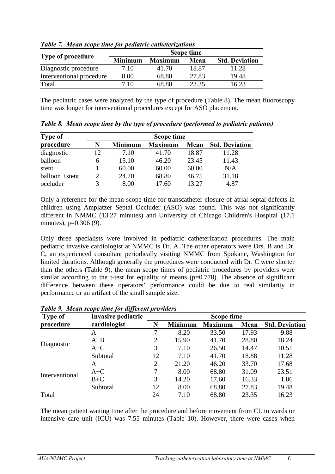|                          |                |                | Scope time |                       |
|--------------------------|----------------|----------------|------------|-----------------------|
| <b>Type of procedure</b> | <b>Minimum</b> | <b>Maximum</b> | Mean       | <b>Std. Deviation</b> |
| Diagnostic procedure     | 7.10           | 41.70          | 18.87      | 11.28                 |
| Interventional procedure | 8.00           | 68.80          | 27.83      | 19.48                 |
| Total                    | 7.10           | 68.80          | 23.35      | 16.23                 |

*Table 7. Mean scope time for pediatric catheterizations*

The pediatric cases were analyzed by the type of procedure (Table 8). The mean fluoroscopy time was longer for interventional procedures except for ASO placement.

| <b>Type of</b> |    |                | Scope time     |       |                       |
|----------------|----|----------------|----------------|-------|-----------------------|
| procedure      | N  | <b>Minimum</b> | <b>Maximum</b> | Mean  | <b>Std. Deviation</b> |
| diagnostic     | 12 | 7.10           | 41.70          | 18.87 | 11.28                 |
| balloon        | 6  | 15.10          | 46.20          | 23.45 | 11.43                 |
| stent          |    | 60.00          | 60.00          | 60.00 | N/A                   |
| balloon +stent |    | 24.70          | 68.80          | 46.75 | 31.18                 |
| occluder       |    | 8.00           | 17.60          | 13.27 | 4.87                  |

*Table 8. Mean scope time by the type of procedure (performed to pediatric patients)*

Only a reference for the mean scope time for transcatheter closure of atrial septal defects in children using Amplatzer Septal Occluder (ASO) was found. This was not significantly different in NMMC (13.27 minutes) and University of Chicago Children's Hospital (17.1 minutes), p=0.306 (9).

Only three specialists were involved in pediatric catheterization procedures. The main pediatric invasive cardiologist at NMMC is Dr. A. The other operators were Drs. B and Dr. C, an experienced consultant periodically visiting NMMC from Spokane, Washington for limited durations. Although generally the procedures were conducted with Dr. C were shorter than the others (Table 9), the mean scope times of pediatric procedures by providers were similar according to the t-test for equality of means  $(p=0.778)$ . The absence of significant difference between these operators' performance could be due to real similarity in performance or an artifact of the small sample size.

| <b>Type of</b> | Invasive pediatric |                |                | Scope time     |       |                       |
|----------------|--------------------|----------------|----------------|----------------|-------|-----------------------|
| procedure      | cardiologist       | N              | <b>Minimum</b> | <b>Maximum</b> | Mean  | <b>Std. Deviation</b> |
|                | A                  | 7              | 8.20           | 33.50          | 17.93 | 9.88                  |
|                | $A+B$              | $\overline{2}$ | 15.90          | 41.70          | 28.80 | 18.24                 |
| Diagnostic     | $A+C$              | 3              | 7.10           | 26.50          | 14.47 | 10.51                 |
|                | Subtotal           | 12             | 7.10           | 41.70          | 18.88 | 11.28                 |
|                | A                  | 2              | 21.20          | 46.20          | 33.70 | 17.68                 |
| Interventional | $A+C$              | 7              | 8.00           | 68.80          | 31.09 | 23.51                 |
|                | $B+C$              | 3              | 14.20          | 17.60          | 16.33 | 1.86                  |
|                | Subtotal           | 12             | 8.00           | 68.80          | 27.83 | 19.48                 |
| Total          |                    | 24             | 7.10           | 68.80          | 23.35 | 16.23                 |

*Table 9. Mean scope time for different providers*

The mean patient waiting time after the procedure and before movement from CL to wards or intensive care unit (ICU) was 7.55 minutes (Table 10). However, there were cases when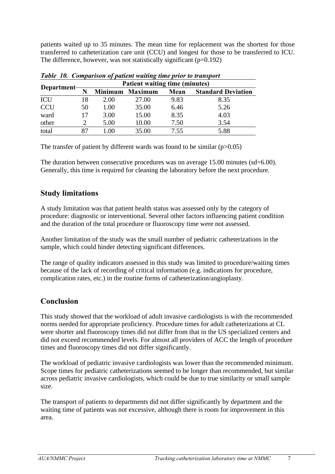patients waited up to 35 minutes. The mean time for replacement was the shortest for those transferred to catheterization care unit (CCU) and longest for those to be transferred to ICU. The difference, however, was not statistically significant  $(p=0.192)$ 

|             |    |                | <b>Patient waiting time (minutes)</b> |      |                           |
|-------------|----|----------------|---------------------------------------|------|---------------------------|
| Department- |    | <b>Minimum</b> | <b>Maximum</b>                        | Mean | <b>Standard Deviation</b> |
| ICU         | 18 | 2.00           | 27.00                                 | 9.83 | 8.35                      |
| <b>CCU</b>  | 50 | 1.00           | 35.00                                 | 6.46 | 5.26                      |
| ward        | 17 | 3.00           | 15.00                                 | 8.35 | 4.03                      |
| other       |    | 5.00           | 10.00                                 | 7.50 | 3.54                      |
| total       |    | $\Omega$       | 35.00                                 | 7.55 | 5.88                      |

|--|

The transfer of patient by different wards was found to be similar  $(p>0.05)$ 

The duration between consecutive procedures was on average 15.00 minutes (sd=6.00). Generally, this time is required for cleaning the laboratory before the next procedure.

### **Study limitations**

A study limitation was that patient health status was assessed only by the category of procedure: diagnostic or interventional. Several other factors influencing patient condition and the duration of the total procedure or fluoroscopy time were not assessed.

Another limitation of the study was the small number of pediatric catheterizations in the sample, which could hinder detecting significant differences.

The range of quality indicators assessed in this study was limited to procedure/waiting times because of the lack of recording of critical information (e.g. indications for procedure, complication rates, etc.) in the routine forms of catheterization/angioplasty.

# **Conclusion**

This study showed that the workload of adult invasive cardiologists is with the recommended norms needed for appropriate proficiency. Procedure times for adult catheterizations at CL were shorter and fluoroscopy times did not differ from that in the US specialized centers and did not exceed recommended levels. For almost all providers of ACC the length of procedure times and fluoroscopy times did not differ significantly.

The workload of pediatric invasive cardiologists was lower than the recommended minimum. Scope times for pediatric catheterizations seemed to be longer than recommended, but similar across pediatric invasive cardiologists, which could be due to true similarity or small sample size.

The transport of patients to departments did not differ significantly by department and the waiting time of patients was not excessive, although there is room for improvement in this area.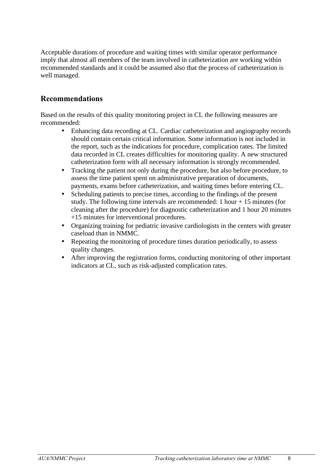Acceptable durations of procedure and waiting times with similar operator performance imply that almost all members of the team involved in catheterization are working within recommended standards and it could be assumed also that the process of catheterization is well managed.

### **Recommendations**

Based on the results of this quality monitoring project in CL the following measures are recommended:

- Enhancing data recording at CL. Cardiac catheterization and angiography records should contain certain critical information. Some information is not included in the report, such as the indications for procedure, complication rates. The limited data recorded in CL creates difficulties for monitoring quality. A new structured catheterization form with all necessary information is strongly recommended.
- Tracking the patient not only during the procedure, but also before procedure, to assess the time patient spent on administrative preparation of documents, payments, exams before catheterization, and waiting times before entering CL.
- Scheduling patients to precise times, according to the findings of the present study. The following time intervals are recommended: 1 hour  $+15$  minutes (for cleaning after the procedure) for diagnostic catheterization and 1 hour 20 minutes +15 minutes for interventional procedures.
- Organizing training for pediatric invasive cardiologists in the centers with greater caseload than in NMMC.
- Repeating the monitoring of procedure times duration periodically, to assess quality changes.
- After improving the registration forms, conducting monitoring of other important indicators at CL, such as risk-adjusted complication rates.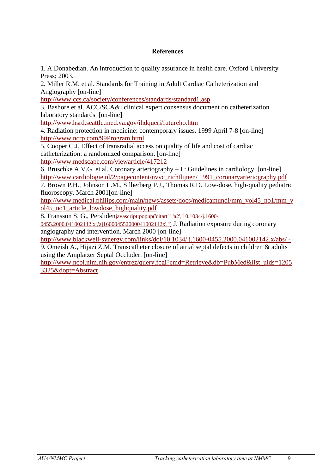#### **References**

1. A.Donabedian. An introduction to quality assurance in health care. Oxford University Press; 2003.

2. Miller R.M. et al. Standards for Training in Adult Cardiac Catheterization and Angiography [on-line]

http://www.ccs.ca/society/conferences/standards/standard1.asp

3. Bashore et al. ACC/SCA&I clinical expert consensus document on catheterization laboratory standards [on-line]

http://www.hsrd.seattle.med.va.gov/ihdqueri/futureho.htm

4. Radiation protection in medicine: contemporary issues. 1999 April 7-8 [on-line] http://www.ncrp.com/99Program.html

5. Cooper C.J. Effect of transradial access on quality of life and cost of cardiac catheterization: a randomized comparison. [on-line]

http://www.medscape.com/viewarticle/417212

6. Bruschke A.V.G. et al. Coronary arteriography – I : Guidelines in cardiology. [on-line] http://www.cardiologie.nl/2/pagecontent/nvvc\_richtlijnen/ 1991\_coronaryarteriography.pdf

7. Brown P.H., Johnson L.M., Silberberg P.J., Thomas R.D. Low-dose, high-quality pediatric fluoroscopy. March 2001[on-line]

http://www.medical.philips.com/main/news/assets/docs/medicamundi/mm\_vol45\_no1/mm\_v ol45\_no1\_article\_lowdose\_highquality.pdf

8. Fransson S. G., Perslidenjavascript:popup('citart1','a2','10.1034/j.1600-

0455.2000.041002142.x','aj160004552000041002142x','') J. Radiation exposure during coronary angiography and intervention. March 2000 [on-line]

http://www.blackwell-synergy.com/links/doi/10.1034/ j.1600-0455.2000.041002142.x/abs/ -

9. Omeish A., Hijazi Z.M. Transcatheter closure of atrial septal defects in children & adults using the Amplatzer Septal Occluder. [on-line]

http://www.ncbi.nlm.nih.gov/entrez/query.fcgi?cmd=Retrieve&db=PubMed&list\_uids=1205 3325&dopt=Abstract